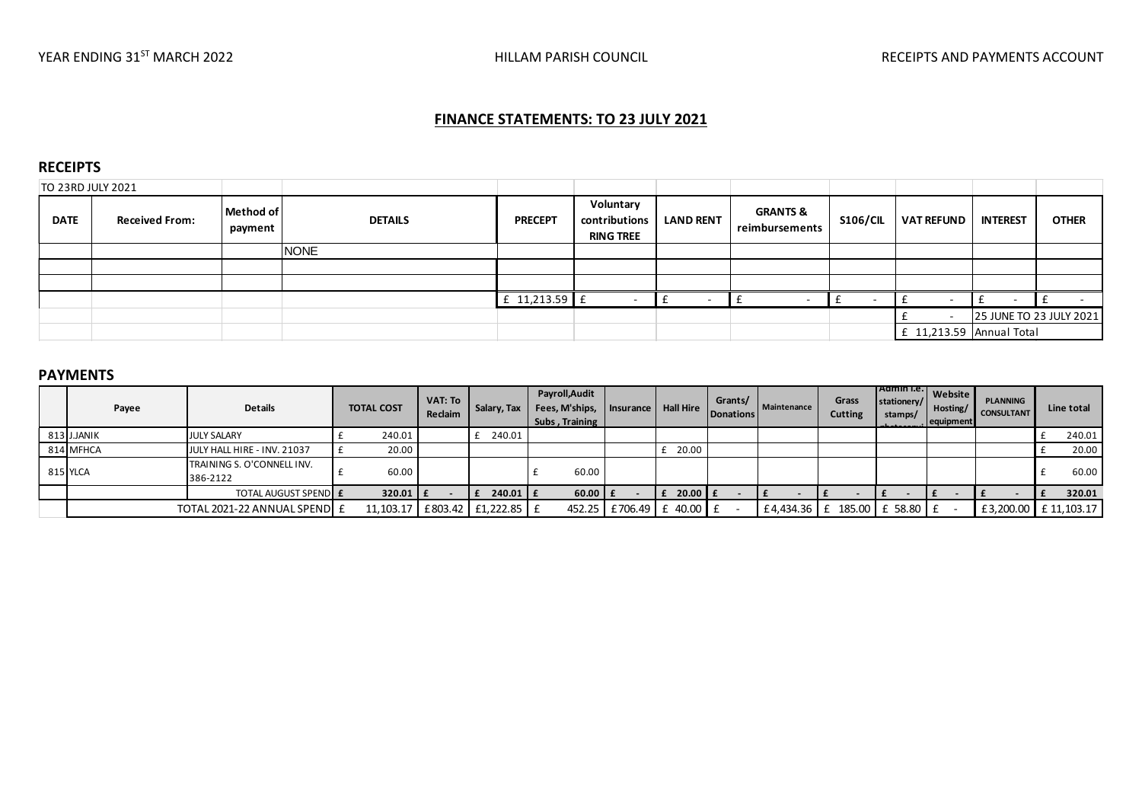### **FINANCE STATEMENTS: TO 23 JULY 2021**

#### **RECEIPTS**

| TO 23RD JULY 2021 |                       |                      |                |                |                                                |                  |                                       |                 |                          |                 |                         |
|-------------------|-----------------------|----------------------|----------------|----------------|------------------------------------------------|------------------|---------------------------------------|-----------------|--------------------------|-----------------|-------------------------|
| <b>DATE</b>       | <b>Received From:</b> | Method of<br>payment | <b>DETAILS</b> | <b>PRECEPT</b> | Voluntary<br>contributions<br><b>RING TREE</b> | <b>LAND RENT</b> | <b>GRANTS &amp;</b><br>reimbursements | <b>S106/CIL</b> | <b>VAT REFUND</b>        | <b>INTEREST</b> | <b>OTHER</b>            |
|                   |                       |                      | <b>NONE</b>    |                |                                                |                  |                                       |                 |                          |                 |                         |
|                   |                       |                      |                |                |                                                |                  |                                       |                 |                          |                 |                         |
|                   |                       |                      |                |                |                                                |                  |                                       |                 |                          |                 |                         |
|                   |                       |                      |                | £ 11,213.59 £  |                                                |                  |                                       |                 |                          |                 |                         |
|                   |                       |                      |                |                |                                                |                  |                                       |                 |                          |                 | 25 JUNE TO 23 JULY 2021 |
|                   |                       |                      |                |                |                                                |                  |                                       |                 | E 11,213.59 Annual Total |                 |                         |

#### **PAYMENTS**

| Payee       | <b>Details</b>                         | <b>TOTAL COST</b> | VAT: To<br>Reclaim | Salary, Tax                         | Payroll, Audit<br>Fees, M'ships,<br>Subs, Training | <b>Insurance</b>         | Hall Hire            | Grants/<br>Donations | Maintenance   | Grass<br><b>Cutting</b> | TAdmin I.e.<br>stationery/<br>stamps/ | Website I<br>Hosting/<br>equipment | <b>PLANNING</b><br><b>CONSULTANT</b> | Line total |
|-------------|----------------------------------------|-------------------|--------------------|-------------------------------------|----------------------------------------------------|--------------------------|----------------------|----------------------|---------------|-------------------------|---------------------------------------|------------------------------------|--------------------------------------|------------|
| 813 J.JANIK | <b>JULY SALARY</b>                     | 240.01            |                    | 240.01                              |                                                    |                          |                      |                      |               |                         |                                       |                                    |                                      | 240.01     |
| 814 MFHCA   | JULY HALL HIRE - INV. 21037            | 20.00             |                    |                                     |                                                    |                          | 20.00                |                      |               |                         |                                       |                                    |                                      | 20.00      |
| 815 YLCA    | TRAINING S. O'CONNELL INV.<br>386-2122 | 60.00             |                    |                                     | 60.00                                              |                          |                      |                      |               |                         |                                       |                                    |                                      | 60.00      |
|             | <b>TOTAL AUGUST SPEND E</b>            | $320.01$ $E$      |                    | $240.01$ $E$                        | $60.00$ $\mathsf{F}$                               |                          | $20.00$ $\mathsf{F}$ |                      |               |                         |                                       |                                    |                                      | 320.01     |
|             | TOTAL 2021-22 ANNUAL SPEND E           |                   |                    | 11,103.17   £803.42   £1,222.85   £ |                                                    | 452.25 £706.49 £ 40.00 £ |                      |                      | £4,434.36 $E$ |                         | 185.00 £ 58.80 £                      |                                    | £3,200.00 £11,103.17                 |            |